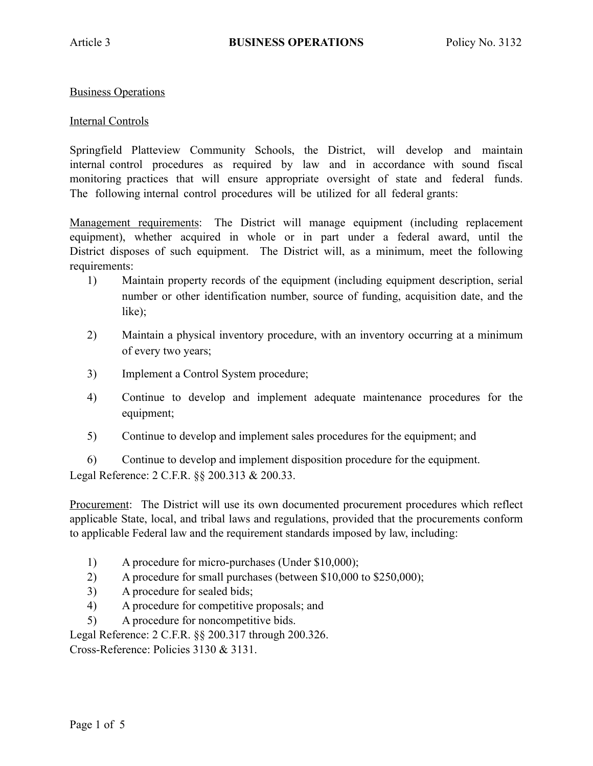Business Operations

## Internal Controls

Springfield Platteview Community Schools, the District, will develop and maintain internal control procedures as required by law and in accordance with sound fiscal monitoring practices that will ensure appropriate oversight of state and federal funds. The following internal control procedures will be utilized for all federal grants:

Management requirements: The District will manage equipment (including replacement equipment), whether acquired in whole or in part under a federal award, until the District disposes of such equipment. The District will, as a minimum, meet the following requirements:

- 1) Maintain property records of the equipment (including equipment description, serial number or other identification number, source of funding, acquisition date, and the like);
- 2) Maintain a physical inventory procedure, with an inventory occurring at a minimum of every two years;
- 3) Implement a Control System procedure;
- 4) Continue to develop and implement adequate maintenance procedures for the equipment;
- 5) Continue to develop and implement sales procedures for the equipment; and

6) Continue to develop and implement disposition procedure for the equipment. Legal Reference: 2 C.F.R. §§ 200.313 & 200.33.

Procurement: The District will use its own documented procurement procedures which reflect applicable State, local, and tribal laws and regulations, provided that the procurements conform to applicable Federal law and the requirement standards imposed by law, including:

- 1) A procedure for micro-purchases (Under \$10,000);
- 2) A procedure for small purchases (between \$10,000 to \$250,000);
- 3) A procedure for sealed bids;
- 4) A procedure for competitive proposals; and
- 5) A procedure for noncompetitive bids.

Legal Reference: 2 C.F.R. §§ 200.317 through 200.326.

Cross-Reference: Policies 3130 & 3131.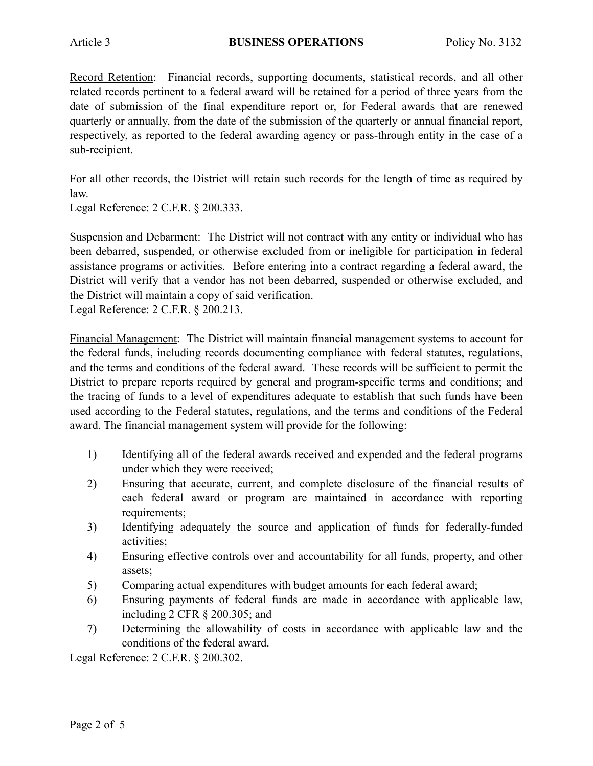Record Retention: Financial records, supporting documents, statistical records, and all other related records pertinent to a federal award will be retained for a period of three years from the date of submission of the final expenditure report or, for Federal awards that are renewed quarterly or annually, from the date of the submission of the quarterly or annual financial report, respectively, as reported to the federal awarding agency or pass-through entity in the case of a sub-recipient.

For all other records, the District will retain such records for the length of time as required by law.

Legal Reference: 2 C.F.R. § 200.333.

Suspension and Debarment: The District will not contract with any entity or individual who has been debarred, suspended, or otherwise excluded from or ineligible for participation in federal assistance programs or activities. Before entering into a contract regarding a federal award, the District will verify that a vendor has not been debarred, suspended or otherwise excluded, and the District will maintain a copy of said verification.

Legal Reference: 2 C.F.R. § 200.213.

Financial Management: The District will maintain financial management systems to account for the federal funds, including records documenting compliance with federal statutes, regulations, and the terms and conditions of the federal award. These records will be sufficient to permit the District to prepare reports required by general and program-specific terms and conditions; and the tracing of funds to a level of expenditures adequate to establish that such funds have been used according to the Federal statutes, regulations, and the terms and conditions of the Federal award. The financial management system will provide for the following:

- 1) Identifying all of the federal awards received and expended and the federal programs under which they were received;
- 2) Ensuring that accurate, current, and complete disclosure of the financial results of each federal award or program are maintained in accordance with reporting requirements;
- 3) Identifying adequately the source and application of funds for federally-funded activities;
- 4) Ensuring effective controls over and accountability for all funds, property, and other assets;
- 5) Comparing actual expenditures with budget amounts for each federal award;
- 6) Ensuring payments of federal funds are made in accordance with applicable law, including 2 CFR § 200.305; and
- 7) Determining the allowability of costs in accordance with applicable law and the conditions of the federal award.

Legal Reference: 2 C.F.R. § 200.302.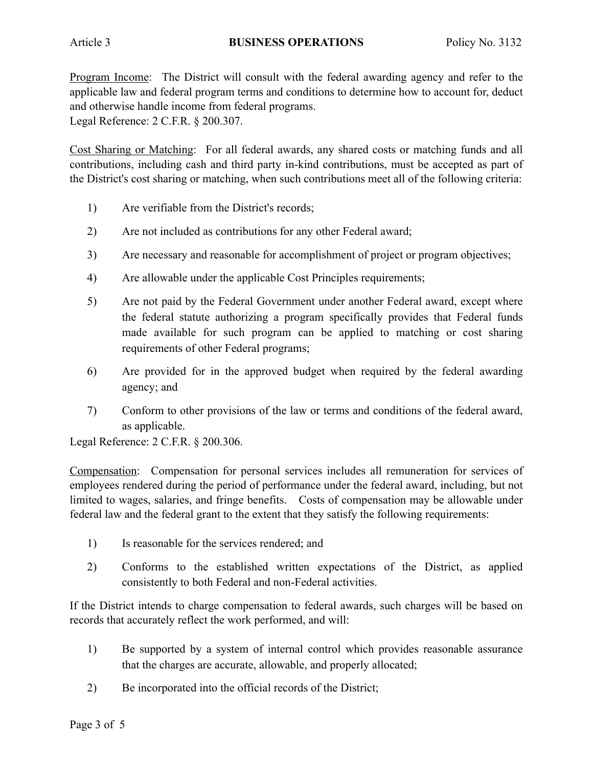Program Income: The District will consult with the federal awarding agency and refer to the applicable law and federal program terms and conditions to determine how to account for, deduct and otherwise handle income from federal programs. Legal Reference: 2 C.F.R. § 200.307.

Cost Sharing or Matching: For all federal awards, any shared costs or matching funds and all contributions, including cash and third party in-kind contributions, must be accepted as part of the District's cost sharing or matching, when such contributions meet all of the following criteria:

- 1) Are verifiable from the District's records;
- 2) Are not included as contributions for any other Federal award;
- 3) Are necessary and reasonable for accomplishment of project or program objectives;
- 4) Are allowable under the applicable Cost Principles requirements;
- 5) Are not paid by the Federal Government under another Federal award, except where the federal statute authorizing a program specifically provides that Federal funds made available for such program can be applied to matching or cost sharing requirements of other Federal programs;
- 6) Are provided for in the approved budget when required by the federal awarding agency; and
- 7) Conform to other provisions of the law or terms and conditions of the federal award, as applicable.

Legal Reference: 2 C.F.R. § 200.306.

Compensation: Compensation for personal services includes all remuneration for services of employees rendered during the period of performance under the federal award, including, but not limited to wages, salaries, and fringe benefits. Costs of compensation may be allowable under federal law and the federal grant to the extent that they satisfy the following requirements:

- 1) Is reasonable for the services rendered; and
- 2) Conforms to the established written expectations of the District, as applied consistently to both Federal and non-Federal activities.

If the District intends to charge compensation to federal awards, such charges will be based on records that accurately reflect the work performed, and will:

- 1) Be supported by a system of internal control which provides reasonable assurance that the charges are accurate, allowable, and properly allocated;
- 2) Be incorporated into the official records of the District;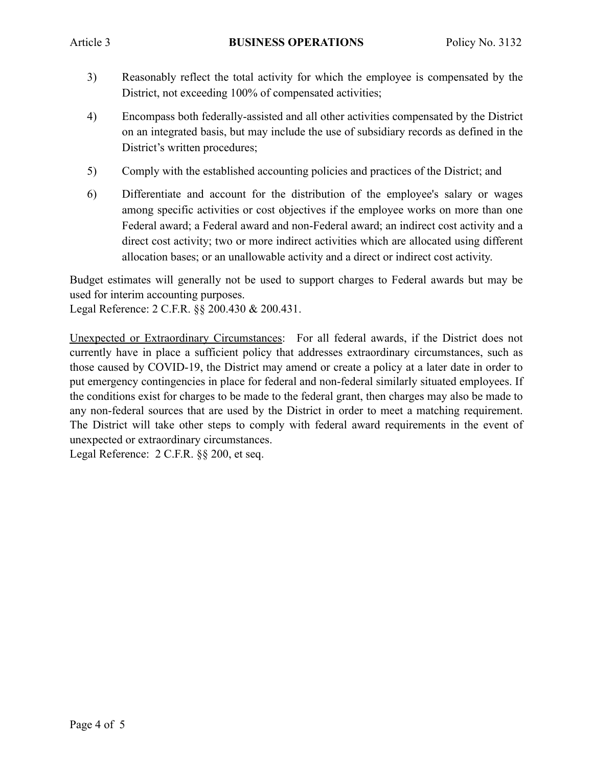- 3) Reasonably reflect the total activity for which the employee is compensated by the District, not exceeding 100% of compensated activities;
- 4) Encompass both federally-assisted and all other activities compensated by the District on an integrated basis, but may include the use of subsidiary records as defined in the District's written procedures;
- 5) Comply with the established accounting policies and practices of the District; and
- 6) Differentiate and account for the distribution of the employee's salary or wages among specific activities or cost objectives if the employee works on more than one Federal award; a Federal award and non-Federal award; an indirect cost activity and a direct cost activity; two or more indirect activities which are allocated using different allocation bases; or an unallowable activity and a direct or indirect cost activity.

Budget estimates will generally not be used to support charges to Federal awards but may be used for interim accounting purposes.

Legal Reference: 2 C.F.R. §§ 200.430 & 200.431.

Unexpected or Extraordinary Circumstances: For all federal awards, if the District does not currently have in place a sufficient policy that addresses extraordinary circumstances, such as those caused by COVID-19, the District may amend or create a policy at a later date in order to put emergency contingencies in place for federal and non-federal similarly situated employees. If the conditions exist for charges to be made to the federal grant, then charges may also be made to any non-federal sources that are used by the District in order to meet a matching requirement. The District will take other steps to comply with federal award requirements in the event of unexpected or extraordinary circumstances.

Legal Reference: 2 C.F.R. §§ 200, et seq.